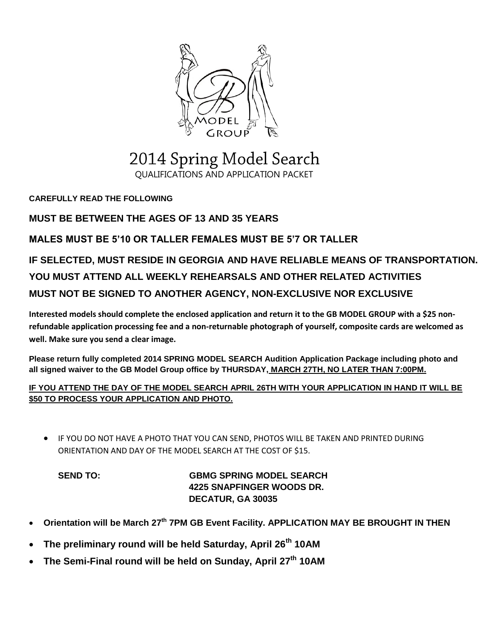

### 2014 Spring Model Search QUALIFICATIONS AND APPLICATION PACKET

**CAREFULLY READ THE FOLLOWING**

#### **MUST BE BETWEEN THE AGES OF 13 AND 35 YEARS**

#### **MALES MUST BE 5'10 OR TALLER FEMALES MUST BE 5'7 OR TALLER**

## **IF SELECTED, MUST RESIDE IN GEORGIA AND HAVE RELIABLE MEANS OF TRANSPORTATION. YOU MUST ATTEND ALL WEEKLY REHEARSALS AND OTHER RELATED ACTIVITIES MUST NOT BE SIGNED TO ANOTHER AGENCY, NON-EXCLUSIVE NOR EXCLUSIVE**

**Interested models should complete the enclosed application and return it to the GB MODEL GROUP with a \$25 nonrefundable application processing fee and a non-returnable photograph of yourself, composite cards are welcomed as well. Make sure you send a clear image.**

**Please return fully completed 2014 SPRING MODEL SEARCH Audition Application Package including photo and all signed waiver to the GB Model Group office by THURSDAY, MARCH 27TH, NO LATER THAN 7:00PM.**

#### **IF YOU ATTEND THE DAY OF THE MODEL SEARCH APRIL 26TH WITH YOUR APPLICATION IN HAND IT WILL BE \$50 TO PROCESS YOUR APPLICATION AND PHOTO.**

 IF YOU DO NOT HAVE A PHOTO THAT YOU CAN SEND, PHOTOS WILL BE TAKEN AND PRINTED DURING ORIENTATION AND DAY OF THE MODEL SEARCH AT THE COST OF \$15.

**SEND TO: GBMG SPRING MODEL SEARCH 4225 SNAPFINGER WOODS DR. DECATUR, GA 30035**

- **Orientation will be March 27th 7PM GB Event Facility. APPLICATION MAY BE BROUGHT IN THEN**
- **The preliminary round will be held Saturday, April 26th 10AM**
- **The Semi-Final round will be held on Sunday, April 27th 10AM**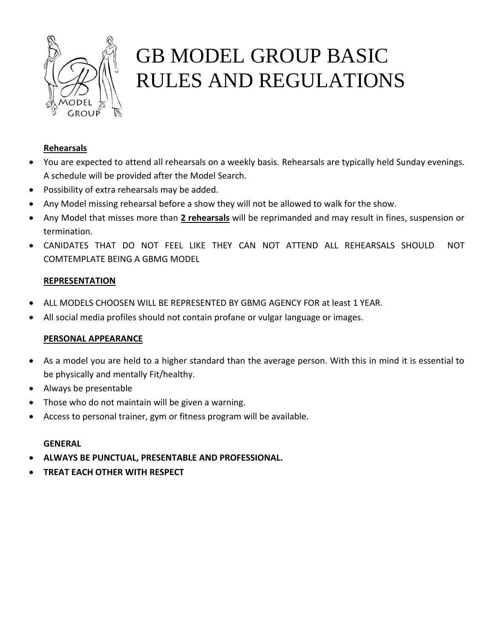

# GB MODEL GROUP BASIC RULES AND REGULATIONS

#### **Rehearsals**

- You are expected to attend all rehearsals on a weekly basis. Rehearsals are typically held Sunday evenings. A schedule will be provided after the Model Search.
- Possibility of extra rehearsals may be added.
- Any Model missing rehearsal before a show they will not be allowed to walk for the show.
- Any Model that misses more than **2 rehearsals** will be reprimanded and may result in fines, suspension or termination.
- CANIDATES THAT DO NOT FEEL LIKE THEY CAN NOT ATTEND ALL REHEARSALS SHOULD NOT COMTEMPLATE BEING A GBMG MODEL

#### **REPRESENTATION**

- ALL MODELS CHOOSEN WILL BE REPRESENTED BY GBMG AGENCY FOR at least 1 YEAR.
- All social media profiles should not contain profane or vulgar language or images.

#### **PERSONAL APPEARANCE**

- As a model you are held to a higher standard than the average person. With this in mind it is essential to be physically and mentally Fit/healthy.
- Always be presentable
- Those who do not maintain will be given a warning.
- Access to personal trainer, gym or fitness program will be available.

#### **GENERAL**

- **ALWAYS BE PUNCTUAL, PRESENTABLE AND PROFESSIONAL.**
- **TREAT EACH OTHER WITH RESPECT**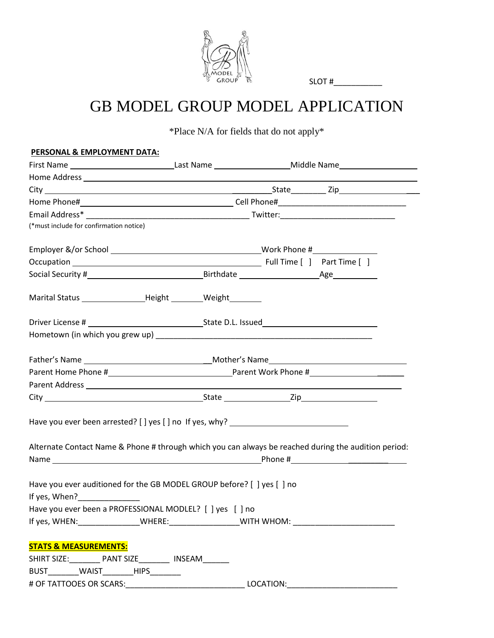

SLOT #

## GB MODEL GROUP MODEL APPLICATION

\*Place N/A for fields that do not apply\*

| PERSONAL & EMPLOYMENT DATA:                                                                                                                                                                                                               |  |  |           |  |
|-------------------------------------------------------------------------------------------------------------------------------------------------------------------------------------------------------------------------------------------|--|--|-----------|--|
| First Name _________________________________Last Name __________________________Middle Name __________________                                                                                                                            |  |  |           |  |
|                                                                                                                                                                                                                                           |  |  |           |  |
|                                                                                                                                                                                                                                           |  |  |           |  |
|                                                                                                                                                                                                                                           |  |  |           |  |
|                                                                                                                                                                                                                                           |  |  |           |  |
| (*must include for confirmation notice)                                                                                                                                                                                                   |  |  |           |  |
|                                                                                                                                                                                                                                           |  |  |           |  |
|                                                                                                                                                                                                                                           |  |  |           |  |
|                                                                                                                                                                                                                                           |  |  |           |  |
| Marital Status _________________________Height _________________________________                                                                                                                                                          |  |  |           |  |
|                                                                                                                                                                                                                                           |  |  |           |  |
|                                                                                                                                                                                                                                           |  |  |           |  |
|                                                                                                                                                                                                                                           |  |  |           |  |
|                                                                                                                                                                                                                                           |  |  |           |  |
|                                                                                                                                                                                                                                           |  |  |           |  |
|                                                                                                                                                                                                                                           |  |  |           |  |
| Have you ever been arrested? [] yes [] no If yes, why? _________________________                                                                                                                                                          |  |  |           |  |
| Alternate Contact Name & Phone # through which you can always be reached during the audition period:                                                                                                                                      |  |  |           |  |
| Have you ever auditioned for the GB MODEL GROUP before? [ ] yes [ ] no<br>If yes, When? $\frac{1}{2}$ Menomenon $\frac{1}{2}$ Menomenon $\frac{1}{2}$ Menomenon $\frac{1}{2}$<br>Have you ever been a PROFESSIONAL MODLEL? [ ] yes [ ] no |  |  |           |  |
| If yes, WHEN:__________________WHERE:_____________________WITH WHOM: ______________________________                                                                                                                                       |  |  |           |  |
| <b>STATS &amp; MEASUREMENTS:</b>                                                                                                                                                                                                          |  |  |           |  |
| SHIRT SIZE: PANT SIZE NSEAM                                                                                                                                                                                                               |  |  |           |  |
| BUST_________WAIST________HIPS________                                                                                                                                                                                                    |  |  |           |  |
|                                                                                                                                                                                                                                           |  |  | LOCATION: |  |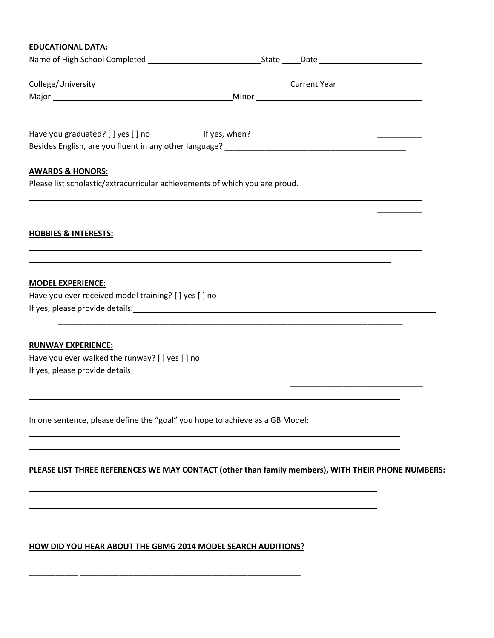#### **EDUCATIONAL DATA:**

| Have you graduated? [ ] yes [ ] no                                                                         | If yes, when?<br><u>Letting</u> the contract of the contract of the contract of the contract of the contract of the contract of the contract of the contract of the contract of the contract of the contract of the contract of the c |  |
|------------------------------------------------------------------------------------------------------------|---------------------------------------------------------------------------------------------------------------------------------------------------------------------------------------------------------------------------------------|--|
|                                                                                                            |                                                                                                                                                                                                                                       |  |
|                                                                                                            |                                                                                                                                                                                                                                       |  |
| <b>AWARDS &amp; HONORS:</b><br>Please list scholastic/extracurricular achievements of which you are proud. |                                                                                                                                                                                                                                       |  |
|                                                                                                            |                                                                                                                                                                                                                                       |  |
|                                                                                                            |                                                                                                                                                                                                                                       |  |
|                                                                                                            |                                                                                                                                                                                                                                       |  |
| <b>HOBBIES &amp; INTERESTS:</b>                                                                            |                                                                                                                                                                                                                                       |  |
|                                                                                                            |                                                                                                                                                                                                                                       |  |
| <b>MODEL EXPERIENCE:</b>                                                                                   |                                                                                                                                                                                                                                       |  |
| Have you ever received model training? [ ] yes [ ] no                                                      |                                                                                                                                                                                                                                       |  |
|                                                                                                            |                                                                                                                                                                                                                                       |  |
|                                                                                                            |                                                                                                                                                                                                                                       |  |
| <b>RUNWAY EXPERIENCE:</b>                                                                                  |                                                                                                                                                                                                                                       |  |
| Have you ever walked the runway? [ ] yes [ ] no                                                            |                                                                                                                                                                                                                                       |  |
| If yes, please provide details:                                                                            |                                                                                                                                                                                                                                       |  |
|                                                                                                            |                                                                                                                                                                                                                                       |  |
|                                                                                                            |                                                                                                                                                                                                                                       |  |
| In one sentence, please define the "goal" you hope to achieve as a GB Model:                               |                                                                                                                                                                                                                                       |  |
|                                                                                                            |                                                                                                                                                                                                                                       |  |
|                                                                                                            |                                                                                                                                                                                                                                       |  |

#### **PLEASE LIST THREE REFERENCES WE MAY CONTACT (other than family members), WITH THEIR PHONE NUMBERS:**

#### **HOW DID YOU HEAR ABOUT THE GBMG 2014 MODEL SEARCH AUDITIONS?**

\_\_\_\_\_\_\_\_\_\_\_ \_\_\_\_\_\_\_\_\_\_\_\_\_\_\_\_\_\_\_\_\_\_\_\_\_\_\_\_\_\_\_\_\_\_\_\_\_\_\_\_\_\_\_\_\_\_\_\_\_\_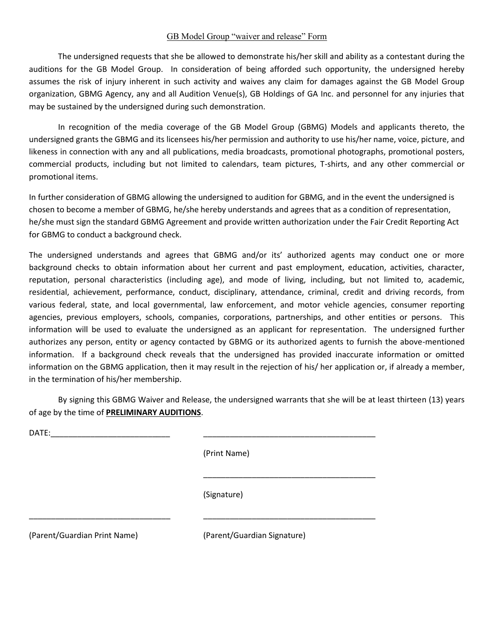#### GB Model Group "waiver and release" Form

The undersigned requests that she be allowed to demonstrate his/her skill and ability as a contestant during the auditions for the GB Model Group. In consideration of being afforded such opportunity, the undersigned hereby assumes the risk of injury inherent in such activity and waives any claim for damages against the GB Model Group organization, GBMG Agency, any and all Audition Venue(s), GB Holdings of GA Inc. and personnel for any injuries that may be sustained by the undersigned during such demonstration.

In recognition of the media coverage of the GB Model Group (GBMG) Models and applicants thereto, the undersigned grants the GBMG and its licensees his/her permission and authority to use his/her name, voice, picture, and likeness in connection with any and all publications, media broadcasts, promotional photographs, promotional posters, commercial products, including but not limited to calendars, team pictures, T-shirts, and any other commercial or promotional items.

In further consideration of GBMG allowing the undersigned to audition for GBMG, and in the event the undersigned is chosen to become a member of GBMG, he/she hereby understands and agrees that as a condition of representation, he/she must sign the standard GBMG Agreement and provide written authorization under the Fair Credit Reporting Act for GBMG to conduct a background check.

The undersigned understands and agrees that GBMG and/or its' authorized agents may conduct one or more background checks to obtain information about her current and past employment, education, activities, character, reputation, personal characteristics (including age), and mode of living, including, but not limited to, academic, residential, achievement, performance, conduct, disciplinary, attendance, criminal, credit and driving records, from various federal, state, and local governmental, law enforcement, and motor vehicle agencies, consumer reporting agencies, previous employers, schools, companies, corporations, partnerships, and other entities or persons. This information will be used to evaluate the undersigned as an applicant for representation. The undersigned further authorizes any person, entity or agency contacted by GBMG or its authorized agents to furnish the above-mentioned information. If a background check reveals that the undersigned has provided inaccurate information or omitted information on the GBMG application, then it may result in the rejection of his/ her application or, if already a member, in the termination of his/her membership.

By signing this GBMG Waiver and Release, the undersigned warrants that she will be at least thirteen (13) years of age by the time of **PRELIMINARY AUDITIONS**.

 $DATE:$ 

(Print Name)

(Signature)

\_\_\_\_\_\_\_\_\_\_\_\_\_\_\_\_\_\_\_\_\_\_\_\_\_\_\_\_\_\_\_\_ \_\_\_\_\_\_\_\_\_\_\_\_\_\_\_\_\_\_\_\_\_\_\_\_\_\_\_\_\_\_\_\_\_\_\_\_\_\_\_

(Parent/Guardian Print Name) (Parent/Guardian Signature)

\_\_\_\_\_\_\_\_\_\_\_\_\_\_\_\_\_\_\_\_\_\_\_\_\_\_\_\_\_\_\_\_\_\_\_\_\_\_\_